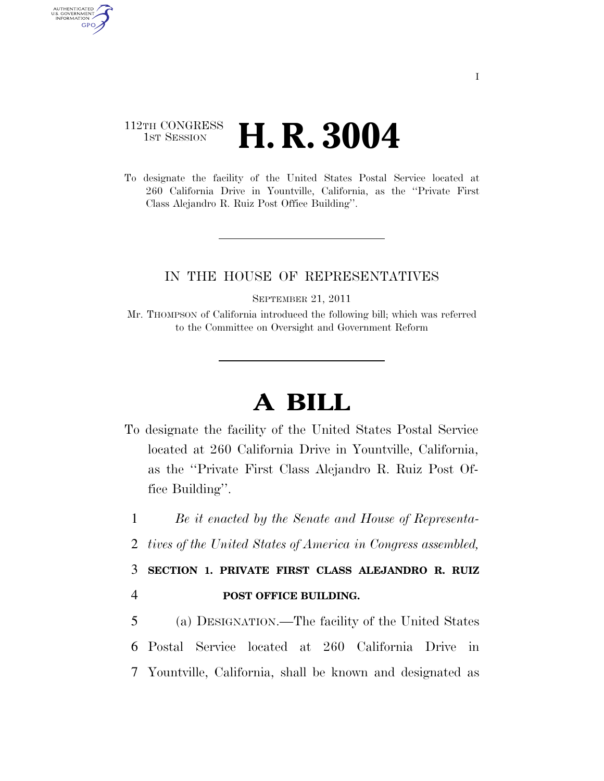## 112TH CONGRESS **1st Session H. R. 3004**

AUTHENTICATED U.S. GOVERNMENT **GPO** 

> To designate the facility of the United States Postal Service located at 260 California Drive in Yountville, California, as the ''Private First Class Alejandro R. Ruiz Post Office Building''.

## IN THE HOUSE OF REPRESENTATIVES

SEPTEMBER 21, 2011

Mr. THOMPSON of California introduced the following bill; which was referred to the Committee on Oversight and Government Reform

## **A BILL**

To designate the facility of the United States Postal Service located at 260 California Drive in Yountville, California, as the ''Private First Class Alejandro R. Ruiz Post Office Building''.

1 *Be it enacted by the Senate and House of Representa-*

2 *tives of the United States of America in Congress assembled,* 

3 **SECTION 1. PRIVATE FIRST CLASS ALEJANDRO R. RUIZ**  4 **POST OFFICE BUILDING.** 

5 (a) DESIGNATION.—The facility of the United States 6 Postal Service located at 260 California Drive in 7 Yountville, California, shall be known and designated as